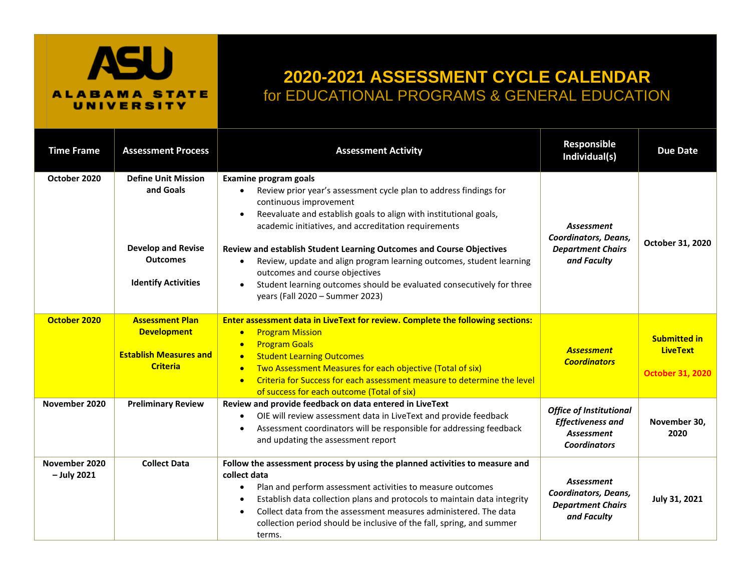

## **2020-2021 ASSESSMENT CYCLE CALENDAR** for EDUCATIONAL PROGRAMS & GENERAL EDUCATION

| <b>Time Frame</b>              | <b>Assessment Process</b>                                                                                             | <b>Assessment Activity</b>                                                                                                                                                                                                                                                                                                                                                                                                                                                                                                                                                       | Responsible<br>Individual(s)                                                                           | <b>Due Date</b>                                                   |
|--------------------------------|-----------------------------------------------------------------------------------------------------------------------|----------------------------------------------------------------------------------------------------------------------------------------------------------------------------------------------------------------------------------------------------------------------------------------------------------------------------------------------------------------------------------------------------------------------------------------------------------------------------------------------------------------------------------------------------------------------------------|--------------------------------------------------------------------------------------------------------|-------------------------------------------------------------------|
| October 2020                   | <b>Define Unit Mission</b><br>and Goals<br><b>Develop and Revise</b><br><b>Outcomes</b><br><b>Identify Activities</b> | <b>Examine program goals</b><br>Review prior year's assessment cycle plan to address findings for<br>continuous improvement<br>Reevaluate and establish goals to align with institutional goals,<br>$\bullet$<br>academic initiatives, and accreditation requirements<br>Review and establish Student Learning Outcomes and Course Objectives<br>Review, update and align program learning outcomes, student learning<br>outcomes and course objectives<br>Student learning outcomes should be evaluated consecutively for three<br>$\bullet$<br>years (Fall 2020 - Summer 2023) | <b>Assessment</b><br><b>Coordinators, Deans,</b><br><b>Department Chairs</b><br>and Faculty            | October 31, 2020                                                  |
| October 2020                   | <b>Assessment Plan</b><br><b>Development</b><br><b>Establish Measures and</b><br><b>Criteria</b>                      | Enter assessment data in LiveText for review. Complete the following sections:<br><b>Program Mission</b><br>$\bullet$<br><b>Program Goals</b><br>$\bullet$<br><b>Student Learning Outcomes</b><br>$\bullet$<br>Two Assessment Measures for each objective (Total of six)<br>$\bullet$<br>Criteria for Success for each assessment measure to determine the level<br>$\bullet$<br>of success for each outcome (Total of six)                                                                                                                                                      | <b>Assessment</b><br><b>Coordinators</b>                                                               | <b>Submitted in</b><br><b>LiveText</b><br><b>October 31, 2020</b> |
| November 2020                  | <b>Preliminary Review</b>                                                                                             | Review and provide feedback on data entered in LiveText<br>OIE will review assessment data in LiveText and provide feedback<br>$\bullet$<br>Assessment coordinators will be responsible for addressing feedback<br>$\bullet$<br>and updating the assessment report                                                                                                                                                                                                                                                                                                               | <b>Office of Institutional</b><br><b>Effectiveness and</b><br><b>Assessment</b><br><b>Coordinators</b> | November 30,<br>2020                                              |
| November 2020<br>$-$ July 2021 | <b>Collect Data</b>                                                                                                   | Follow the assessment process by using the planned activities to measure and<br>collect data<br>Plan and perform assessment activities to measure outcomes<br>$\bullet$<br>Establish data collection plans and protocols to maintain data integrity<br>Collect data from the assessment measures administered. The data<br>$\bullet$<br>collection period should be inclusive of the fall, spring, and summer<br>terms.                                                                                                                                                          | <b>Assessment</b><br>Coordinators, Deans,<br><b>Department Chairs</b><br>and Faculty                   | July 31, 2021                                                     |